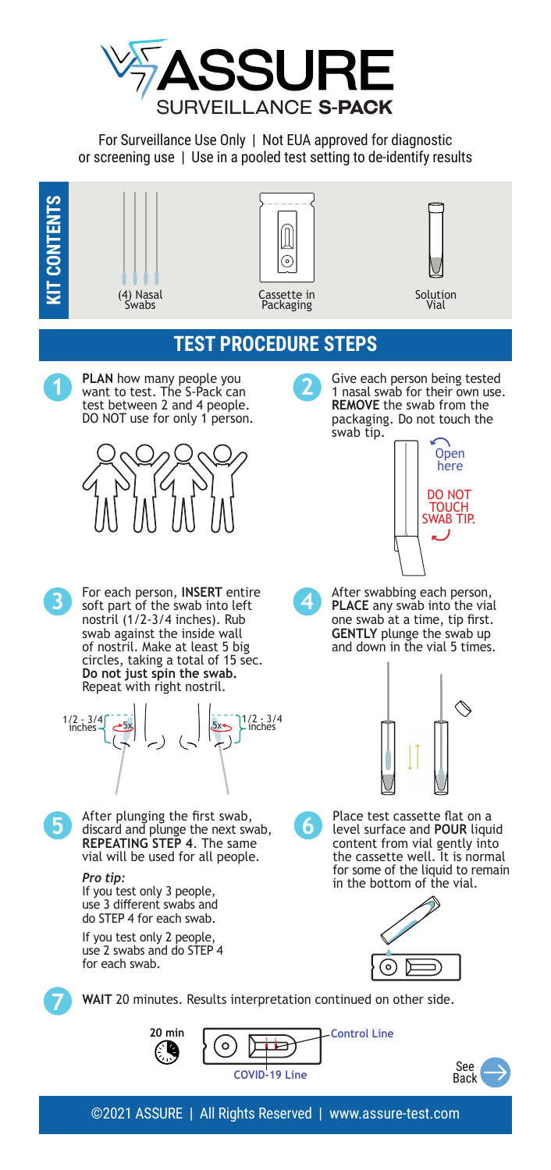

For Surveillance Use Only | Not EUA approved for diagnostic or screening use | Use in a pooled test setting to de-identify results

**KIT CONTENTS**







Solution Vial

## **TEST PROCEDURE STEPS**



**1 PLAN** how many people you want to test. The S-Pack can test between 2 and 4 people. DO NOT use for only 1 person.



**3** For each person, **INSERT** entire soft part of the swab into left nostril (1/2-3/4 inches). Rub swab against the inside wall of nostril. Make at least 5 big circles, taking a total of 15 sec. **Do not just spin the swab.** Repeat with right nostril.





**5** After plunging the first swab,<br>discard and plunge the next swab,<br>**REPEATING STEP 4**. The same vial will be used for all people.

If you test only 3 people, use 3 different swabs and do STEP 4 for each swab.

If you test only 2 people, use 2 swabs and do STEP 4 for each swab.

**2** Give each person being tested<br>
1 nasal swab for their own use. **REMOVE** the swab from the packaging. Do not touch the swab tip.



**4** After swabbing each person,<br>**PLACE** any swab into the vial one swab at a time, tip first. **GENTLY** plunge the swab up and down in the vial 5 times.









**7 WAIT** 20 minutes. Results interpretation continued on other side.

**20 min**  $Control$  Line  $\circ$ **COVID-19 Line**



©2021 ASSURE | All Rights Reserved | www.assure-test.com